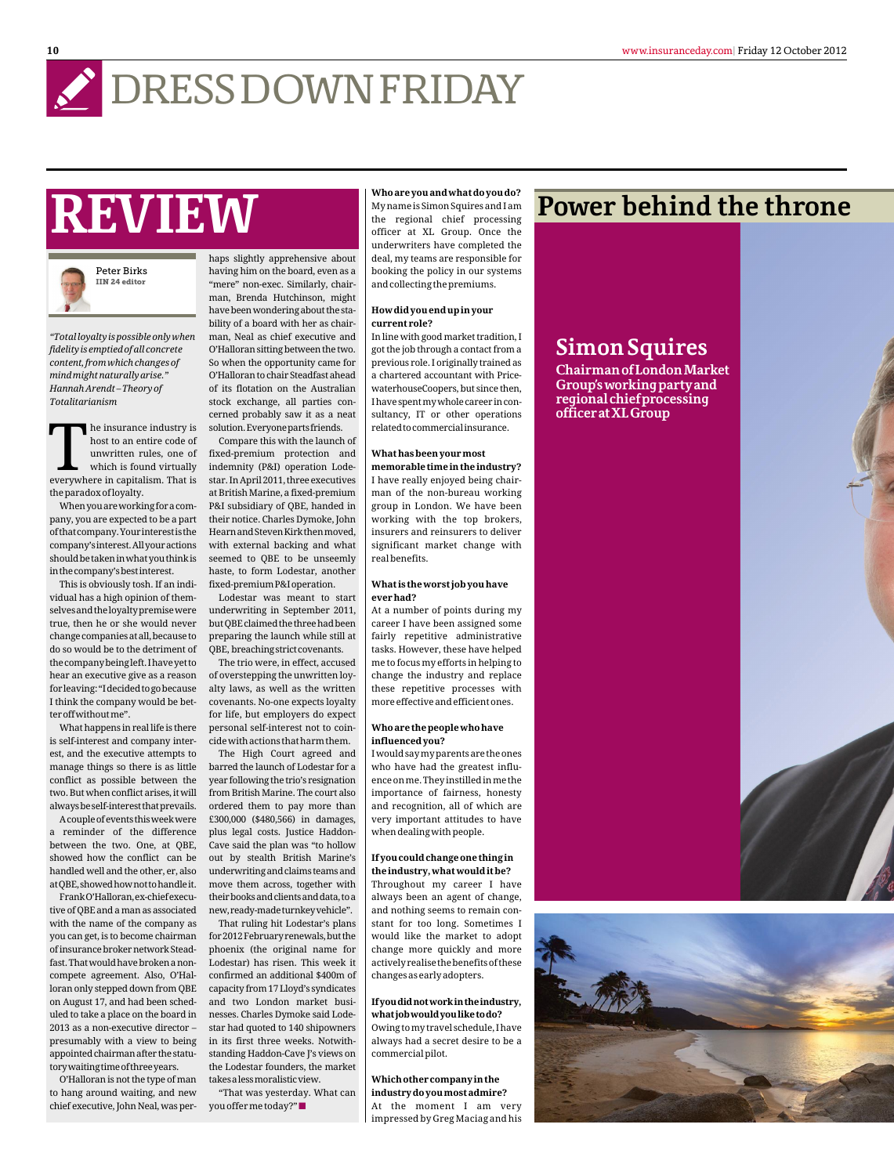## **DRESSDOWNFRIDAY**

# **REVIEW**



*"Total loyalty is possible only when fidelity is emptied of all concrete content, from which changes of mind might naturally arise." Hannah Arendt – Theory of Totalitarianism*

The insurance industry is<br>host to an entire code of<br>unwritten rules, one of<br>which is found virtually<br>everywhere in capitalism. That is he insurance industry is host to an entire code of unwritten rules, one of which is found virtually theparadoxofloyalty.

Whenyouareworkingforacompany, you are expected to be a part ofthatcompany.Yourinterestisthe company'sinterest.Allyouractions shouldbetakeninwhatyouthinkis inthecompany'sbestinterest.

This is obviously tosh. If an individual has a high opinion of themselvesandtheloyaltypremisewere true, then he or she would never changecompaniesatall,becauseto do so would be to the detriment of thecompanybeingleft.Ihaveyetto hear an executive give as a reason forleaving:"Idecidedtogobecause I think the company would be betteroffwithoutme".

What happens in real life is there is self-interest and company interest, and the executive attempts to manage things so there is as little conflict as possible between the two. But when conflict arises, it will alwaysbeself-interestthatprevails.

Acoupleofeventsthisweekwere a reminder of the difference between the two. One, at QBE, showed how the conflict can be handled well and the other, er, also atQBE,showedhownottohandleit.

FrankO'Halloran,ex-chiefexecutive of QBE and a man as associated with the name of the company as you can get, is to become chairman of insurance broker network Steadfast. That would have broken a noncompete agreement. Also, O'Halloran only stepped down from QBE on August 17, and had been scheduled to take a place on the board in 2013 as a non-executive director – presumably with a view to being appointed chairman after the statutorywaitingtimeofthreeyears.

O'Halloran is not the type of man to hang around waiting, and new chief executive, John Neal, was per-

haps slightly apprehensive about having him on the board, even as a "mere" non-exec. Similarly, chairman, Brenda Hutchinson, might have been wondering about the stability of a board with her as chairman, Neal as chief executive and O'Halloran sitting between the two. So when the opportunity came for O'Halloran to chair Steadfast ahead of its flotation on the Australian stock exchange, all parties concerned probably saw it as a neat solution.Everyonepartsfriends.

Compare this with the launch of fixed-premium protection and indemnity (P&I) operation Lodestar. In April 2011, three executives at British Marine, a fixed-premium P&I subsidiary of QBE, handed in their notice. Charles Dymoke, John HearnandStevenKirkthenmoved, with external backing and what seemed to QBE to be unseemly haste, to form Lodestar, another fixed-premiumP&Ioperation.

Lodestar was meant to start underwriting in September 2011, but QBE claimed the three had been preparing the launch while still at QBE, breaching strict covenants.

The trio were, in effect, accused of overstepping the unwritten loyalty laws, as well as the written covenants. No-one expects loyalty for life, but employers do expect personal self-interest not to coincidewithactionsthatharmthem.

The High Court agreed and barred the launch of Lodestar for a year following the trio's resignation from British Marine. The court also ordered them to pay more than £300,000 (\$480,566) in damages, plus legal costs. Justice Haddon-Cave said the plan was "to hollow out by stealth British Marine's underwriting and claims teams and move them across, together with their books and clients and data, to a new,ready-madeturnkeyvehicle".

That ruling hit Lodestar's plans for 2012 February renewals, but the phoenix (the original name for Lodestar) has risen. This week it confirmed an additional \$400m of capacity from 17 Lloyd's syndicates and two London market businesses. Charles Dymoke said Lodestar had quoted to 140 shipowners in its first three weeks. Notwithstanding Haddon-Cave J's views on the Lodestar founders, the market takesalessmoralisticview.

"That was yesterday. What can you offer me today?" $\blacksquare$ 

My name is Simon Squires and I am the regional chief processing officer at XL Group. Once the underwriters have completed the deal, my teams are responsible for booking the policy in our systems and collecting the premiums.

#### **How did you end up in your current role?**

In line with good market tradition, I got the job through a contact from a previous role. I originally trained as a chartered accountant with PricewaterhouseCoopers, but since then, Ihavespentmywholecareerinconsultancy, IT or other operations relatedtocommercialinsurance.

#### **What has been your most memorable time in the industry?**

I have really enjoyed being chairman of the non-bureau working group in London. We have been working with the top brokers, insurers and reinsurers to deliver significant market change with real benefits.

#### **What is the worst job you have ever had?**

At a number of points during my career I have been assigned some fairly repetitive administrative tasks. However, these have helped me to focus my efforts in helping to change the industry and replace these repetitive processes with more effective and efficient ones.

#### **Who are the people who have influenced you?**

Iwouldsaymyparentsaretheones who have had the greatest influenceonme.Theyinstilledinmethe importance of fairness, honesty and recognition, all of which are very important attitudes to have when dealing with people.

#### **If you could change one thing in the industry, what would it be?**

Throughout my career I have always been an agent of change, and nothing seems to remain constant for too long. Sometimes I would like the market to adopt change more quickly and more activelyrealisethebenefitsofthese changes as early adopters.

#### **Ifyoudidnotworkintheindustry, whatjobwouldyouliketodo?**

Owingtomytravelschedule,Ihave always had a secret desire to be a commercial pilot.

**Which other company in the industry do you most admire?** At the moment I am very impressed by Greg Maciag and his

## Who are you and what do you do? **POWER behind the throne**

### **Simon Squires**

**ChairmanofLondonMarket Group'sworkingpartyand regionalchiefprocessing officeratXLGroup**